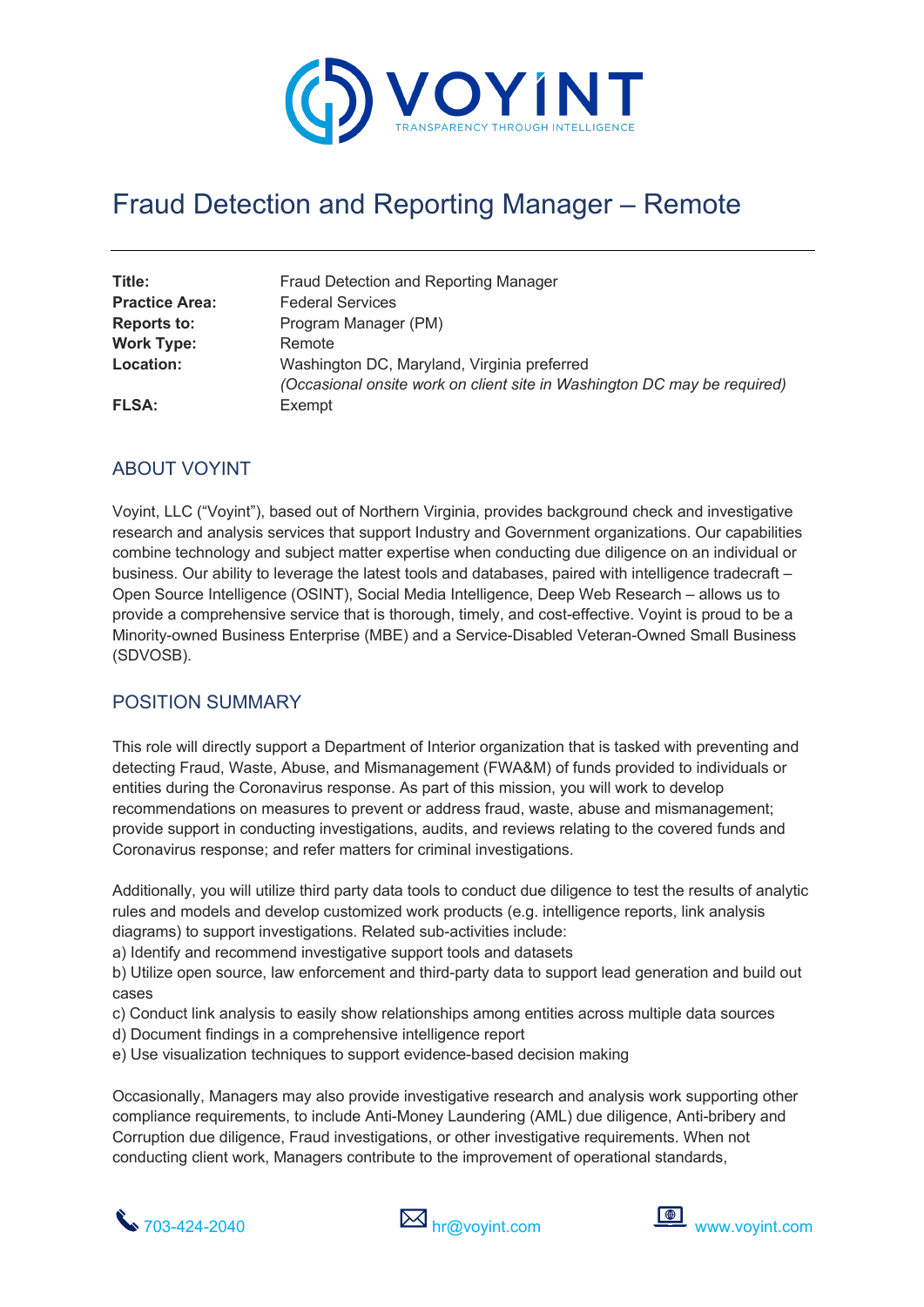

# Fraud Detection and Reporting Manager – Remote

| Title:<br><b>Practice Area:</b> | Fraud Detection and Reporting Manager<br><b>Federal Services</b>                                                        |
|---------------------------------|-------------------------------------------------------------------------------------------------------------------------|
| <b>Reports to:</b>              | Program Manager (PM)                                                                                                    |
| <b>Work Type:</b>               | Remote                                                                                                                  |
| Location:                       | Washington DC, Maryland, Virginia preferred<br>(Occasional onsite work on client site in Washington DC may be required) |
| <b>FLSA:</b>                    | Exempt                                                                                                                  |

### ABOUT VOYINT

Voyint, LLC ("Voyint"), based out of Northern Virginia, provides background check and investigative research and analysis services that support Industry and Government organizations. Our capabilities combine technology and subject matter expertise when conducting due diligence on an individual or business. Our ability to leverage the latest tools and databases, paired with intelligence tradecraft – Open Source Intelligence (OSINT), Social Media Intelligence, Deep Web Research – allows us to provide a comprehensive service that is thorough, timely, and cost-effective. Voyint is proud to be a Minority-owned Business Enterprise (MBE) and a Service-Disabled Veteran-Owned Small Business (SDVOSB).

#### POSITION SUMMARY

This role will directly support a Department of Interior organization that is tasked with preventing and detecting Fraud, Waste, Abuse, and Mismanagement (FWA&M) of funds provided to individuals or entities during the Coronavirus response. As part of this mission, you will work to develop recommendations on measures to prevent or address fraud, waste, abuse and mismanagement; provide support in conducting investigations, audits, and reviews relating to the covered funds and Coronavirus response; and refer matters for criminal investigations.

Additionally, you will utilize third party data tools to conduct due diligence to test the results of analytic rules and models and develop customized work products (e.g. intelligence reports, link analysis diagrams) to support investigations. Related sub-activities include:

a) Identify and recommend investigative support tools and datasets

b) Utilize open source, law enforcement and third-party data to support lead generation and build out cases

- c) Conduct link analysis to easily show relationships among entities across multiple data sources
- d) Document findings in a comprehensive intelligence report
- e) Use visualization techniques to support evidence-based decision making

Occasionally, Managers may also provide investigative research and analysis work supporting other compliance requirements, to include Anti-Money Laundering (AML) due diligence, Anti-bribery and Corruption due diligence, Fraud investigations, or other investigative requirements. When not conducting client work, Managers contribute to the improvement of operational standards,